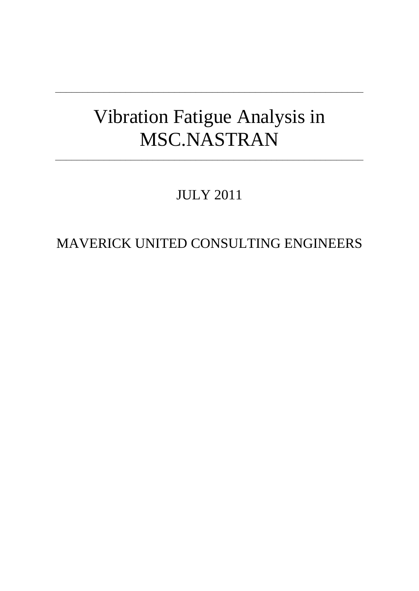# Vibration Fatigue Analysis in MSC.NASTRAN

**\_\_\_\_\_\_\_\_\_\_\_\_\_\_\_\_\_\_\_\_\_\_\_\_\_\_\_\_\_\_\_\_\_\_\_\_\_\_\_\_\_\_\_\_\_\_\_\_\_\_\_\_\_\_\_\_\_**

**\_\_\_\_\_\_\_\_\_\_\_\_\_\_\_\_\_\_\_\_\_\_\_\_\_\_\_\_\_\_\_\_\_\_\_\_\_\_\_\_\_\_\_\_\_\_\_\_\_\_\_\_\_\_\_\_\_**

JULY 2011

MAVERICK UNITED CONSULTING ENGINEERS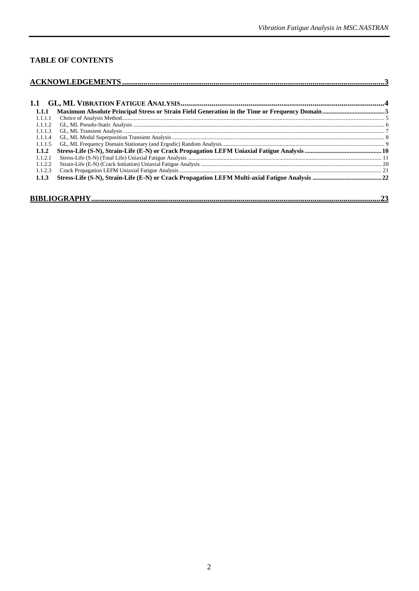# **TABLE OF CONTENTS**

| 1.1.1   |  |  |  |
|---------|--|--|--|
| 1.1.1.1 |  |  |  |
| 1.1.1.2 |  |  |  |
| 1.1.1.3 |  |  |  |
| 1.1.1.4 |  |  |  |
| 1.1.1.5 |  |  |  |
| 1.1.2   |  |  |  |
| 1.1.2.1 |  |  |  |
| 1.1.2.2 |  |  |  |
| 1.1.2.3 |  |  |  |
| 1.1.3   |  |  |  |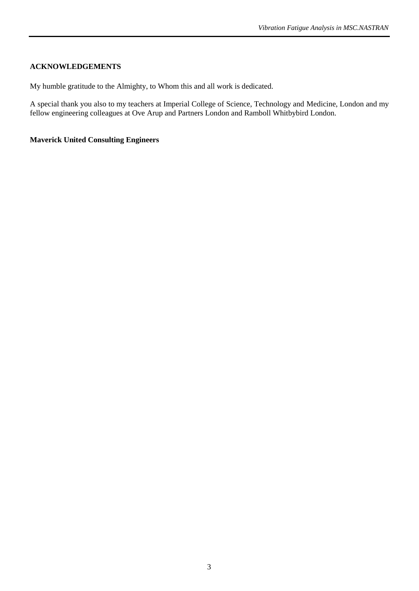## <span id="page-2-0"></span>**ACKNOWLEDGEMENTS**

My humble gratitude to the Almighty, to Whom this and all work is dedicated.

A special thank you also to my teachers at Imperial College of Science, Technology and Medicine, London and my fellow engineering colleagues at Ove Arup and Partners London and Ramboll Whitbybird London.

## **Maverick United Consulting Engineers**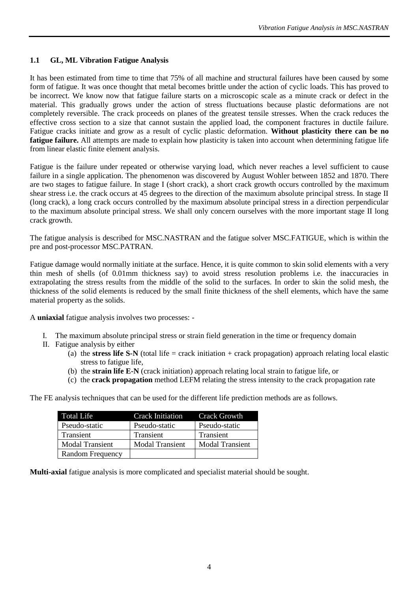## <span id="page-3-0"></span>**1.1 GL, ML Vibration Fatigue Analysis**

It has been estimated from time to time that 75% of all machine and structural failures have been caused by some form of fatigue. It was once thought that metal becomes brittle under the action of cyclic loads. This has proved to be incorrect. We know now that fatigue failure starts on a microscopic scale as a minute crack or defect in the material. This gradually grows under the action of stress fluctuations because plastic deformations are not completely reversible. The crack proceeds on planes of the greatest tensile stresses. When the crack reduces the effective cross section to a size that cannot sustain the applied load, the component fractures in ductile failure. Fatigue cracks initiate and grow as a result of cyclic plastic deformation. **Without plasticity there can be no fatigue failure.** All attempts are made to explain how plasticity is taken into account when determining fatigue life from linear elastic finite element analysis.

Fatigue is the failure under repeated or otherwise varying load, which never reaches a level sufficient to cause failure in a single application. The phenomenon was discovered by August Wohler between 1852 and 1870. There are two stages to fatigue failure. In stage I (short crack), a short crack growth occurs controlled by the maximum shear stress i.e. the crack occurs at 45 degrees to the direction of the maximum absolute principal stress. In stage II (long crack), a long crack occurs controlled by the maximum absolute principal stress in a direction perpendicular to the maximum absolute principal stress. We shall only concern ourselves with the more important stage II long crack growth.

The fatigue analysis is described for MSC.NASTRAN and the fatigue solver MSC.FATIGUE, which is within the pre and post-processor MSC.PATRAN.

Fatigue damage would normally initiate at the surface. Hence, it is quite common to skin solid elements with a very thin mesh of shells (of 0.01mm thickness say) to avoid stress resolution problems i.e. the inaccuracies in extrapolating the stress results from the middle of the solid to the surfaces. In order to skin the solid mesh, the thickness of the solid elements is reduced by the small finite thickness of the shell elements, which have the same material property as the solids.

A **uniaxial** fatigue analysis involves two processes: -

- I. The maximum absolute principal stress or strain field generation in the time or frequency domain
- II. Fatigue analysis by either
	- (a) the **stress life S-N** (total life = crack initiation + crack propagation) approach relating local elastic stress to fatigue life,
	- (b) the **strain life E-N** (crack initiation) approach relating local strain to fatigue life, or
	- (c) the **crack propagation** method LEFM relating the stress intensity to the crack propagation rate

The FE analysis techniques that can be used for the different life prediction methods are as follows.

| <b>Total Life</b>       | Crack Initiation       | Crack Growth           |
|-------------------------|------------------------|------------------------|
| Pseudo-static           | Pseudo-static          | Pseudo-static          |
| <b>Transient</b>        | Transient              | Transient              |
| <b>Modal Transient</b>  | <b>Modal Transient</b> | <b>Modal Transient</b> |
| <b>Random Frequency</b> |                        |                        |

**Multi-axial** fatigue analysis is more complicated and specialist material should be sought.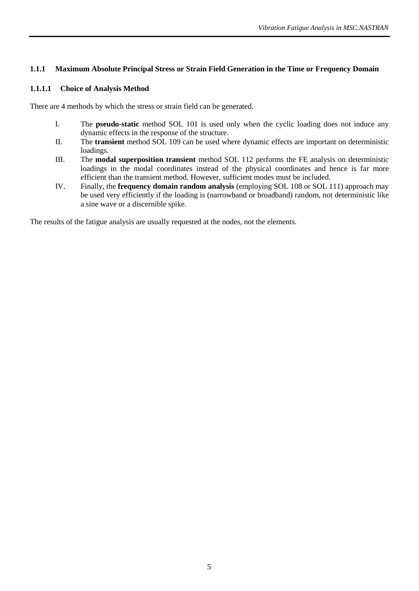## <span id="page-4-0"></span>**1.1.1 Maximum Absolute Principal Stress or Strain Field Generation in the Time or Frequency Domain**

## <span id="page-4-1"></span>**1.1.1.1 Choice of Analysis Method**

There are 4 methods by which the stress or strain field can be generated.

- I. The **pseudo-static** method SOL 101 is used only when the cyclic loading does not induce any dynamic effects in the response of the structure.
- II. The **transient** method SOL 109 can be used where dynamic effects are important on deterministic loadings.
- III. The **modal superposition transient** method SOL 112 performs the FE analysis on deterministic loadings in the modal coordinates instead of the physical coordinates and hence is far more efficient than the transient method. However, sufficient modes must be included.
- IV. Finally, the **frequency domain random analysis** (employing SOL 108 or SOL 111) approach may be used very efficiently if the loading is (narrowband or broadband) random, not deterministic like a sine wave or a discernible spike.

The results of the fatigue analysis are usually requested at the nodes, not the elements.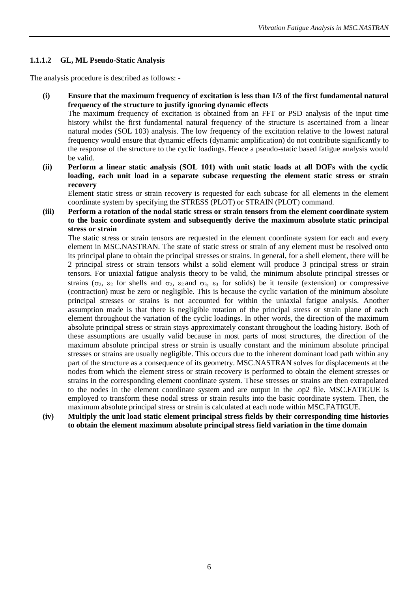## <span id="page-5-0"></span>**1.1.1.2 GL, ML Pseudo-Static Analysis**

The analysis procedure is described as follows: -

**(i) Ensure that the maximum frequency of excitation is less than 1/3 of the first fundamental natural frequency of the structure to justify ignoring dynamic effects**

The maximum frequency of excitation is obtained from an FFT or PSD analysis of the input time history whilst the first fundamental natural frequency of the structure is ascertained from a linear natural modes (SOL 103) analysis. The low frequency of the excitation relative to the lowest natural frequency would ensure that dynamic effects (dynamic amplification) do not contribute significantly to the response of the structure to the cyclic loadings. Hence a pseudo-static based fatigue analysis would be valid.

**(ii) Perform a linear static analysis (SOL 101) with unit static loads at all DOFs with the cyclic loading, each unit load in a separate subcase requesting the element static stress or strain recovery** 

Element static stress or strain recovery is requested for each subcase for all elements in the element coordinate system by specifying the STRESS (PLOT) or STRAIN (PLOT) command.

**(iii) Perform a rotation of the nodal static stress or strain tensors from the element coordinate system to the basic coordinate system and subsequently derive the maximum absolute static principal stress or strain** 

The static stress or strain tensors are requested in the element coordinate system for each and every element in MSC.NASTRAN. The state of static stress or strain of any element must be resolved onto its principal plane to obtain the principal stresses or strains. In general, for a shell element, there will be 2 principal stress or strain tensors whilst a solid element will produce 3 principal stress or strain tensors. For uniaxial fatigue analysis theory to be valid, the minimum absolute principal stresses or strains ( $\sigma_2$ ,  $\varepsilon_2$  for shells and  $\sigma_2$ ,  $\varepsilon_2$  and  $\sigma_3$ ,  $\varepsilon_3$  for solids) be it tensile (extension) or compressive (contraction) must be zero or negligible. This is because the cyclic variation of the minimum absolute principal stresses or strains is not accounted for within the uniaxial fatigue analysis. Another assumption made is that there is negligible rotation of the principal stress or strain plane of each element throughout the variation of the cyclic loadings. In other words, the direction of the maximum absolute principal stress or strain stays approximately constant throughout the loading history. Both of these assumptions are usually valid because in most parts of most structures, the direction of the maximum absolute principal stress or strain is usually constant and the minimum absolute principal stresses or strains are usually negligible. This occurs due to the inherent dominant load path within any part of the structure as a consequence of its geometry. MSC.NASTRAN solves for displacements at the nodes from which the element stress or strain recovery is performed to obtain the element stresses or strains in the corresponding element coordinate system. These stresses or strains are then extrapolated to the nodes in the element coordinate system and are output in the .op2 file. MSC.FATIGUE is employed to transform these nodal stress or strain results into the basic coordinate system. Then, the maximum absolute principal stress or strain is calculated at each node within MSC.FATIGUE.

**(iv) Multiply the unit load static element principal stress fields by their corresponding time histories to obtain the element maximum absolute principal stress field variation in the time domain**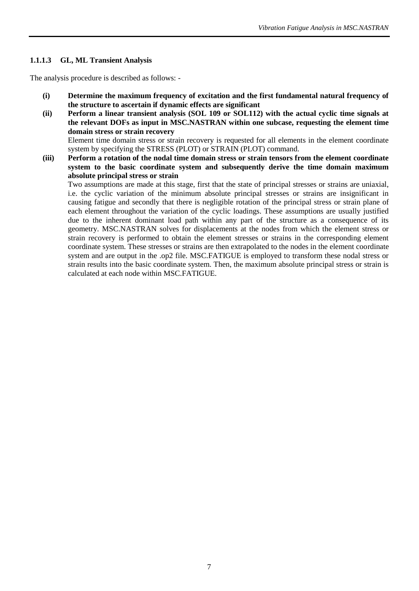## <span id="page-6-0"></span>**1.1.1.3 GL, ML Transient Analysis**

The analysis procedure is described as follows: -

- **(i) Determine the maximum frequency of excitation and the first fundamental natural frequency of the structure to ascertain if dynamic effects are significant**
- **(ii) Perform a linear transient analysis (SOL 109 or SOL112) with the actual cyclic time signals at the relevant DOFs as input in MSC.NASTRAN within one subcase, requesting the element time domain stress or strain recovery**  Element time domain stress or strain recovery is requested for all elements in the element coordinate

system by specifying the STRESS (PLOT) or STRAIN (PLOT) command.

**(iii) Perform a rotation of the nodal time domain stress or strain tensors from the element coordinate system to the basic coordinate system and subsequently derive the time domain maximum absolute principal stress or strain**

Two assumptions are made at this stage, first that the state of principal stresses or strains are uniaxial, i.e. the cyclic variation of the minimum absolute principal stresses or strains are insignificant in causing fatigue and secondly that there is negligible rotation of the principal stress or strain plane of each element throughout the variation of the cyclic loadings. These assumptions are usually justified due to the inherent dominant load path within any part of the structure as a consequence of its geometry. MSC.NASTRAN solves for displacements at the nodes from which the element stress or strain recovery is performed to obtain the element stresses or strains in the corresponding element coordinate system. These stresses or strains are then extrapolated to the nodes in the element coordinate system and are output in the .op2 file. MSC.FATIGUE is employed to transform these nodal stress or strain results into the basic coordinate system. Then, the maximum absolute principal stress or strain is calculated at each node within MSC.FATIGUE.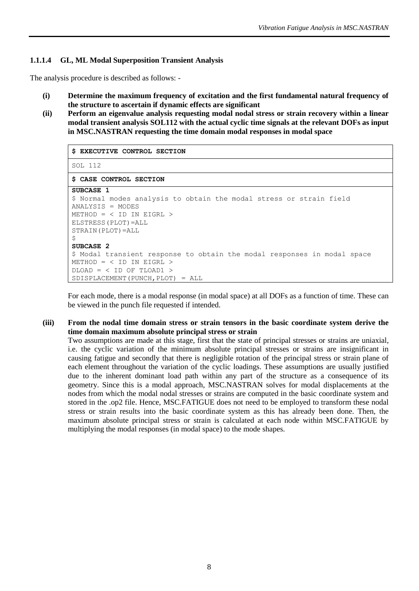## <span id="page-7-0"></span>**1.1.1.4 GL, ML Modal Superposition Transient Analysis**

The analysis procedure is described as follows: -

- **(i) Determine the maximum frequency of excitation and the first fundamental natural frequency of the structure to ascertain if dynamic effects are significant**
- **(ii) Perform an eigenvalue analysis requesting modal nodal stress or strain recovery within a linear modal transient analysis SOL112 with the actual cyclic time signals at the relevant DOFs as input in MSC.NASTRAN requesting the time domain modal responses in modal space**

| S EXECUTIVE CONTROL SECTION                                              |
|--------------------------------------------------------------------------|
| SOL 112                                                                  |
| \$ CASE CONTROL SECTION                                                  |
| SUBCASE 1                                                                |
| \$ Normal modes analysis to obtain the modal stress or strain field      |
| $ANALYSIS = MODES$                                                       |
| $METHOD = < ID IN EIGRL >$                                               |
| ELSTRESS (PLOT) = ALL                                                    |
| STRAIN (PLOT)=ALL                                                        |
| \$                                                                       |
| SUBCASE 2                                                                |
| \$ Modal transient response to obtain the modal responses in modal space |
| METHOD = $\langle$ ID IN EIGRL $\rangle$                                 |
| $DLOAD = \langle ID OF TLOAD1 \rangle$                                   |
| SDISPLACEMENT (PUNCH, PLOT) = ALL                                        |

For each mode, there is a modal response (in modal space) at all DOFs as a function of time. These can be viewed in the punch file requested if intended.

#### **(iii) From the nodal time domain stress or strain tensors in the basic coordinate system derive the time domain maximum absolute principal stress or strain**

Two assumptions are made at this stage, first that the state of principal stresses or strains are uniaxial, i.e. the cyclic variation of the minimum absolute principal stresses or strains are insignificant in causing fatigue and secondly that there is negligible rotation of the principal stress or strain plane of each element throughout the variation of the cyclic loadings. These assumptions are usually justified due to the inherent dominant load path within any part of the structure as a consequence of its geometry. Since this is a modal approach, MSC.NASTRAN solves for modal displacements at the nodes from which the modal nodal stresses or strains are computed in the basic coordinate system and stored in the .op2 file. Hence, MSC.FATIGUE does not need to be employed to transform these nodal stress or strain results into the basic coordinate system as this has already been done. Then, the maximum absolute principal stress or strain is calculated at each node within MSC.FATIGUE by multiplying the modal responses (in modal space) to the mode shapes.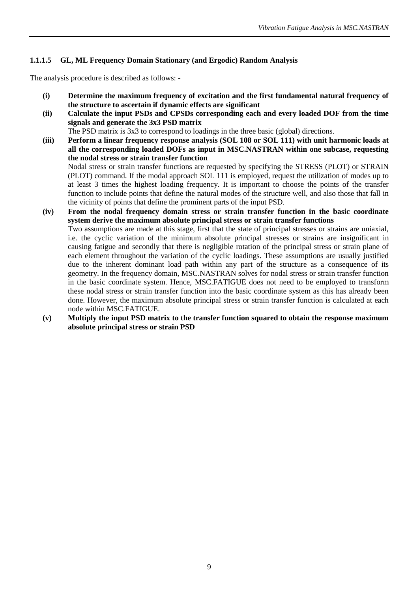## <span id="page-8-0"></span>**1.1.1.5 GL, ML Frequency Domain Stationary (and Ergodic) Random Analysis**

The analysis procedure is described as follows: -

- **(i) Determine the maximum frequency of excitation and the first fundamental natural frequency of the structure to ascertain if dynamic effects are significant**
- **(ii) Calculate the input PSDs and CPSDs corresponding each and every loaded DOF from the time signals and generate the 3x3 PSD matrix**

The PSD matrix is 3x3 to correspond to loadings in the three basic (global) directions.

- **(iii) Perform a linear frequency response analysis (SOL 108 or SOL 111) with unit harmonic loads at all the corresponding loaded DOFs as input in MSC.NASTRAN within one subcase, requesting the nodal stress or strain transfer function**  Nodal stress or strain transfer functions are requested by specifying the STRESS (PLOT) or STRAIN (PLOT) command. If the modal approach SOL 111 is employed, request the utilization of modes up to at least 3 times the highest loading frequency. It is important to choose the points of the transfer function to include points that define the natural modes of the structure well, and also those that fall in the vicinity of points that define the prominent parts of the input PSD.
- **(iv) From the nodal frequency domain stress or strain transfer function in the basic coordinate system derive the maximum absolute principal stress or strain transfer functions** Two assumptions are made at this stage, first that the state of principal stresses or strains are uniaxial, i.e. the cyclic variation of the minimum absolute principal stresses or strains are insignificant in causing fatigue and secondly that there is negligible rotation of the principal stress or strain plane of each element throughout the variation of the cyclic loadings. These assumptions are usually justified due to the inherent dominant load path within any part of the structure as a consequence of its geometry. In the frequency domain, MSC.NASTRAN solves for nodal stress or strain transfer function in the basic coordinate system. Hence, MSC.FATIGUE does not need to be employed to transform these nodal stress or strain transfer function into the basic coordinate system as this has already been done. However, the maximum absolute principal stress or strain transfer function is calculated at each node within MSC.FATIGUE.
- **(v) Multiply the input PSD matrix to the transfer function squared to obtain the response maximum absolute principal stress or strain PSD**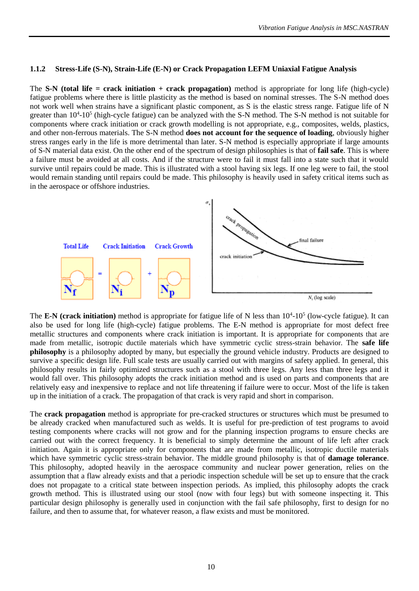#### <span id="page-9-0"></span>**1.1.2 Stress-Life (S-N), Strain-Life (E-N) or Crack Propagation LEFM Uniaxial Fatigue Analysis**

The **S-N (total life = crack initiation + crack propagation)** method is appropriate for long life (high-cycle) fatigue problems where there is little plasticity as the method is based on nominal stresses. The S-N method does not work well when strains have a significant plastic component, as S is the elastic stress range. Fatigue life of N greater than 10<sup>4</sup>-10<sup>5</sup> (high-cycle fatigue) can be analyzed with the S-N method. The S-N method is not suitable for components where crack initiation or crack growth modelling is not appropriate, e.g., composites, welds, plastics, and other non-ferrous materials. The S-N method **does not account for the sequence of loading**, obviously higher stress ranges early in the life is more detrimental than later. S-N method is especially appropriate if large amounts of S-N material data exist. On the other end of the spectrum of design philosophies is that of **fail safe**. This is where a failure must be avoided at all costs. And if the structure were to fail it must fall into a state such that it would survive until repairs could be made. This is illustrated with a stool having six legs. If one leg were to fail, the stool would remain standing until repairs could be made. This philosophy is heavily used in safety critical items such as in the aerospace or offshore industries.



The **E-N** (crack initiation) method is appropriate for fatigue life of N less than  $10^4$ - $10^5$  (low-cycle fatigue). It can also be used for long life (high-cycle) fatigue problems. The E-N method is appropriate for most defect free metallic structures and components where crack initiation is important. It is appropriate for components that are made from metallic, isotropic ductile materials which have symmetric cyclic stress-strain behavior. The **safe life philosophy** is a philosophy adopted by many, but especially the ground vehicle industry. Products are designed to survive a specific design life. Full scale tests are usually carried out with margins of safety applied. In general, this philosophy results in fairly optimized structures such as a stool with three legs. Any less than three legs and it would fall over. This philosophy adopts the crack initiation method and is used on parts and components that are relatively easy and inexpensive to replace and not life threatening if failure were to occur. Most of the life is taken up in the initiation of a crack. The propagation of that crack is very rapid and short in comparison.

The **crack propagation** method is appropriate for pre-cracked structures or structures which must be presumed to be already cracked when manufactured such as welds. It is useful for pre-prediction of test programs to avoid testing components where cracks will not grow and for the planning inspection programs to ensure checks are carried out with the correct frequency. It is beneficial to simply determine the amount of life left after crack initiation. Again it is appropriate only for components that are made from metallic, isotropic ductile materials which have symmetric cyclic stress-strain behavior. The middle ground philosophy is that of **damage tolerance**. This philosophy, adopted heavily in the aerospace community and nuclear power generation, relies on the assumption that a flaw already exists and that a periodic inspection schedule will be set up to ensure that the crack does not propagate to a critical state between inspection periods. As implied, this philosophy adopts the crack growth method. This is illustrated using our stool (now with four legs) but with someone inspecting it. This particular design philosophy is generally used in conjunction with the fail safe philosophy, first to design for no failure, and then to assume that, for whatever reason, a flaw exists and must be monitored.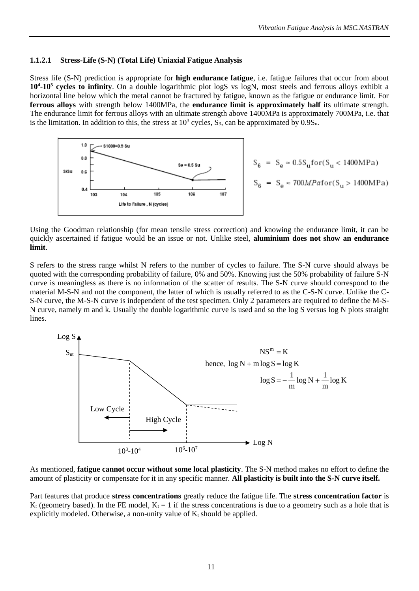#### <span id="page-10-0"></span>**1.1.2.1 Stress-Life (S-N) (Total Life) Uniaxial Fatigue Analysis**

Stress life (S-N) prediction is appropriate for **high endurance fatigue**, i.e. fatigue failures that occur from about **10<sup>4</sup> -10<sup>5</sup> cycles to infinity**. On a double logarithmic plot logS vs logN, most steels and ferrous alloys exhibit a horizontal line below which the metal cannot be fractured by fatigue, known as the fatigue or endurance limit. For **ferrous alloys** with strength below 1400MPa, the **endurance limit is approximately half** its ultimate strength. The endurance limit for ferrous alloys with an ultimate strength above 1400MPa is approximately 700MPa, i.e. that is the limitation. In addition to this, the stress at  $10^3$  cycles, S<sub>3</sub>, can be approximated by  $0.9S_u$ .



$$
S_6 = S_e \approx 0.5 S_u \text{for} (S_u < 1400 \text{MPa})
$$
\n
$$
S_6 = S_e \approx 700 \text{MPa} \text{for} (S_u > 1400 \text{MPa})
$$

Using the Goodman relationship (for mean tensile stress correction) and knowing the endurance limit, it can be quickly ascertained if fatigue would be an issue or not. Unlike steel, **aluminium does not show an endurance limit**.

S refers to the stress range whilst N refers to the number of cycles to failure. The S-N curve should always be quoted with the corresponding probability of failure, 0% and 50%. Knowing just the 50% probability of failure S-N curve is meaningless as there is no information of the scatter of results. The S-N curve should correspond to the material M-S-N and not the component, the latter of which is usually referred to as the C-S-N curve. Unlike the C-S-N curve, the M-S-N curve is independent of the test specimen. Only 2 parameters are required to define the M-S-N curve, namely m and k. Usually the double logarithmic curve is used and so the log S versus log N plots straight lines.



As mentioned, **fatigue cannot occur without some local plasticity**. The S-N method makes no effort to define the amount of plasticity or compensate for it in any specific manner. **All plasticity is built into the S-N curve itself.**

Part features that produce **stress concentrations** greatly reduce the fatigue life. The **stress concentration factor** is  $K_t$  (geometry based). In the FE model,  $K_t = 1$  if the stress concentrations is due to a geometry such as a hole that is explicitly modeled. Otherwise, a non-unity value of  $K_t$  should be applied.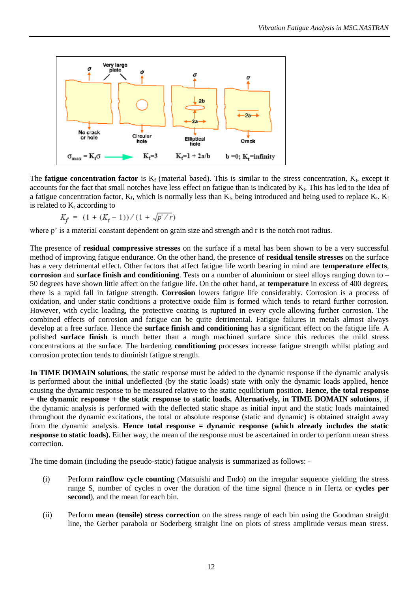

The **fatigue concentration factor** is  $K_f$  (material based). This is similar to the stress concentration,  $K_t$ , except it accounts for the fact that small notches have less effect on fatigue than is indicated by  $K_t$ . This has led to the idea of a fatigue concentration factor,  $K_f$ , which is normally less than  $K_f$ , being introduced and being used to replace  $K_f$ .  $K_f$ is related to  $K_t$  according to

$$
K_f = (1 + (K_t - 1)) / (1 + \sqrt{p' / r})
$$

where p' is a material constant dependent on grain size and strength and r is the notch root radius.

The presence of **residual compressive stresses** on the surface if a metal has been shown to be a very successful method of improving fatigue endurance. On the other hand, the presence of **residual tensile stresses** on the surface has a very detrimental effect. Other factors that affect fatigue life worth bearing in mind are **temperature effects**, **corrosion** and **surface finish and conditioning**. Tests on a number of aluminium or steel alloys ranging down to – 50 degrees have shown little affect on the fatigue life. On the other hand, at **temperature** in excess of 400 degrees, there is a rapid fall in fatigue strength. **Corrosion** lowers fatigue life considerably. Corrosion is a process of oxidation, and under static conditions a protective oxide film is formed which tends to retard further corrosion. However, with cyclic loading, the protective coating is ruptured in every cycle allowing further corrosion. The combined effects of corrosion and fatigue can be quite detrimental. Fatigue failures in metals almost always develop at a free surface. Hence the **surface finish and conditioning** has a significant effect on the fatigue life. A polished **surface finish** is much better than a rough machined surface since this reduces the mild stress concentrations at the surface. The hardening **conditioning** processes increase fatigue strength whilst plating and corrosion protection tends to diminish fatigue strength.

**In TIME DOMAIN solutions**, the static response must be added to the dynamic response if the dynamic analysis is performed about the initial undeflected (by the static loads) state with only the dynamic loads applied, hence causing the dynamic response to be measured relative to the static equilibrium position. **Hence, the total response = the dynamic response + the static response to static loads. Alternatively, in TIME DOMAIN solutions**, if the dynamic analysis is performed with the deflected static shape as initial input and the static loads maintained throughout the dynamic excitations, the total or absolute response (static and dynamic) is obtained straight away from the dynamic analysis. **Hence total response = dynamic response (which already includes the static response to static loads).** Either way, the mean of the response must be ascertained in order to perform mean stress correction.

The time domain (including the pseudo-static) fatigue analysis is summarized as follows: -

- (i) Perform **rainflow cycle counting** (Matsuishi and Endo) on the irregular sequence yielding the stress range S, number of cycles n over the duration of the time signal (hence n in Hertz or **cycles per second**), and the mean for each bin.
- (ii) Perform **mean (tensile) stress correction** on the stress range of each bin using the Goodman straight line, the Gerber parabola or Soderberg straight line on plots of stress amplitude versus mean stress.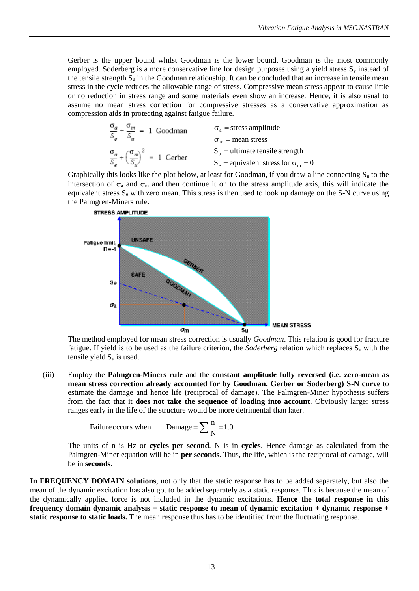Gerber is the upper bound whilst Goodman is the lower bound. Goodman is the most commonly employed. Soderberg is a more conservative line for design purposes using a yield stress  $S<sub>y</sub>$  instead of the tensile strength  $S_u$  in the Goodman relationship. It can be concluded that an increase in tensile mean stress in the cycle reduces the allowable range of stress. Compressive mean stress appear to cause little or no reduction in stress range and some materials even show an increase. Hence, it is also usual to assume no mean stress correction for compressive stresses as a conservative approximation as compression aids in protecting against fatigue failure.

$$
\frac{\sigma_a}{S_e} + \frac{\sigma_m}{S_u} = 1 \text{ Goodman} \qquad \sigma_a = \text{stress amplitude}
$$
\n
$$
\sigma_m = \text{mean stress}
$$
\n
$$
\frac{\sigma_a}{S_e} + \left(\frac{\sigma_m}{S_u}\right)^2 = 1 \text{ Gerber}
$$
\n
$$
S_e = \text{equivalent stress for } \sigma_m = 0
$$

Graphically this looks like the plot below, at least for Goodman, if you draw a line connecting  $S_u$  to the intersection of  $\sigma_a$  and  $\sigma_m$  and then continue it on to the stress amplitude axis, this will indicate the equivalent stress  $S_e$  with zero mean. This stress is then used to look up damage on the S-N curve using the Palmgren-Miners rule.



The method employed for mean stress correction is usually *Goodman*. This relation is good for fracture fatigue. If yield is to be used as the failure criterion, the *Soderberg* relation which replaces  $S_u$  with the tensile yield  $S_y$  is used.

(iii) Employ the **Palmgren-Miners rule** and the **constant amplitude fully reversed (i.e. zero-mean as mean stress correction already accounted for by Goodman, Gerber or Soderberg) S-N curve** to estimate the damage and hence life (reciprocal of damage). The Palmgren-Miner hypothesis suffers from the fact that it **does not take the sequence of loading into account**. Obviously larger stress ranges early in the life of the structure would be more detrimental than later.

$$
F\text{ailure occurs when } \qquad \text{Damage} = \sum_{N} \frac{n}{N} = 1.0
$$

The units of n is Hz or **cycles per second**. N is in **cycles**. Hence damage as calculated from the Palmgren-Miner equation will be in **per seconds**. Thus, the life, which is the reciprocal of damage, will be in **seconds**.

**In FREQUENCY DOMAIN solutions**, not only that the static response has to be added separately, but also the mean of the dynamic excitation has also got to be added separately as a static response. This is because the mean of the dynamically applied force is not included in the dynamic excitations. **Hence the total response in this frequency domain dynamic analysis = static response to mean of dynamic excitation + dynamic response + static response to static loads.** The mean response thus has to be identified from the fluctuating response.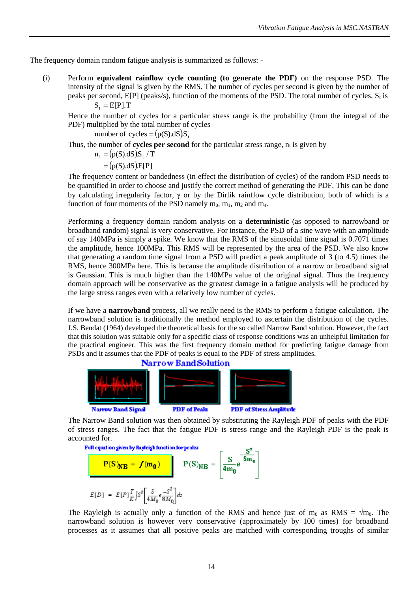The frequency domain random fatigue analysis is summarized as follows: -

(i) Perform **equivalent rainflow cycle counting (to generate the PDF)** on the response PSD. The intensity of the signal is given by the RMS. The number of cycles per second is given by the number of peaks per second,  $E[P]$  (peaks/s), function of the moments of the PSD. The total number of cycles,  $S_t$  is  $S_t = E[P].T$ 

Hence the number of cycles for a particular stress range is the probability (from the integral of the PDF) multiplied by the total number of cycles

number of cycles =  $(p(S).dS)S$ .

Thus, the number of **cycles per second** for the particular stress range,  $n_i$  is given by

 $n_i = (p(S).dS)S_t / T$ 

 $= (p(S).dS).E[P]$ 

The frequency content or bandedness (in effect the distribution of cycles) of the random PSD needs to be quantified in order to choose and justify the correct method of generating the PDF. This can be done by calculating irregularity factor,  $\gamma$  or by the Dirlik rainflow cycle distribution, both of which is a function of four moments of the PSD namely  $m_0$ ,  $m_1$ ,  $m_2$  and  $m_4$ .

Performing a frequency domain random analysis on a **deterministic** (as opposed to narrowband or broadband random) signal is very conservative. For instance, the PSD of a sine wave with an amplitude of say 140MPa is simply a spike. We know that the RMS of the sinusoidal time signal is 0.7071 times the amplitude, hence 100MPa. This RMS will be represented by the area of the PSD. We also know that generating a random time signal from a PSD will predict a peak amplitude of 3 (to 4.5) times the RMS, hence 300MPa here. This is because the amplitude distribution of a narrow or broadband signal is Gaussian. This is much higher than the 140MPa value of the original signal. Thus the frequency domain approach will be conservative as the greatest damage in a fatigue analysis will be produced by the large stress ranges even with a relatively low number of cycles.

If we have a **narrowband** process, all we really need is the RMS to perform a fatigue calculation. The narrowband solution is traditionally the method employed to ascertain the distribution of the cycles. J.S. Bendat (1964) developed the theoretical basis for the so called Narrow Band solution. However, the fact that this solution was suitable only for a specific class of response conditions was an unhelpful limitation for the practical engineer. This was the first frequency domain method for predicting fatigue damage from PSDs and it assumes that the PDF of peaks is equal to the PDF of stress amplitudes.



The Narrow Band solution was then obtained by substituting the Rayleigh PDF of peaks with the PDF of stress ranges. The fact that the fatigue PDF is stress range and the Rayleigh PDF is the peak is accounted for.

 $\mathbf{c}^2$ 



$$
\frac{\mathbf{P(S)}_{\mathbf{NB}} = \boldsymbol{f(m_0)} \qquad \qquad \mathbf{P(S)}_{\mathbf{NB}} = \left[ \frac{\mathbf{S}}{4m_0} e^{-\frac{\mathbf{S}}{8m_0}} \right]
$$

$$
E[D] = E[P] \frac{T}{K} \int S^b \left[ \frac{S}{4M_0} e^{-\frac{\mathbf{S}^2}{8M_0}} \right] ds
$$

The Rayleigh is actually only a function of the RMS and hence just of m<sub>0</sub> as RMS =  $\sqrt{m_0}$ . The narrowband solution is however very conservative (approximately by 100 times) for broadband processes as it assumes that all positive peaks are matched with corresponding troughs of similar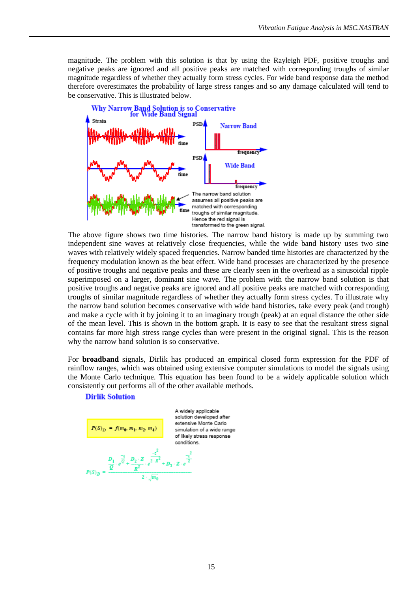magnitude. The problem with this solution is that by using the Rayleigh PDF, positive troughs and negative peaks are ignored and all positive peaks are matched with corresponding troughs of similar magnitude regardless of whether they actually form stress cycles. For wide band response data the method therefore overestimates the probability of large stress ranges and so any damage calculated will tend to be conservative. This is illustrated below.



The above figure shows two time histories. The narrow band history is made up by summing two independent sine waves at relatively close frequencies, while the wide band history uses two sine waves with relatively widely spaced frequencies. Narrow banded time histories are characterized by the frequency modulation known as the beat effect. Wide band processes are characterized by the presence of positive troughs and negative peaks and these are clearly seen in the overhead as a sinusoidal ripple superimposed on a larger, dominant sine wave. The problem with the narrow band solution is that positive troughs and negative peaks are ignored and all positive peaks are matched with corresponding troughs of similar magnitude regardless of whether they actually form stress cycles. To illustrate why the narrow band solution becomes conservative with wide band histories, take every peak (and trough) and make a cycle with it by joining it to an imaginary trough (peak) at an equal distance the other side of the mean level. This is shown in the bottom graph. It is easy to see that the resultant stress signal contains far more high stress range cycles than were present in the original signal. This is the reason why the narrow band solution is so conservative.

For **broadband** signals, Dirlik has produced an empirical closed form expression for the PDF of rainflow ranges, which was obtained using extensive computer simulations to model the signals using the Monte Carlo technique. This equation has been found to be a widely applicable solution which consistently out performs all of the other available methods.

#### **Dirlik Solution**

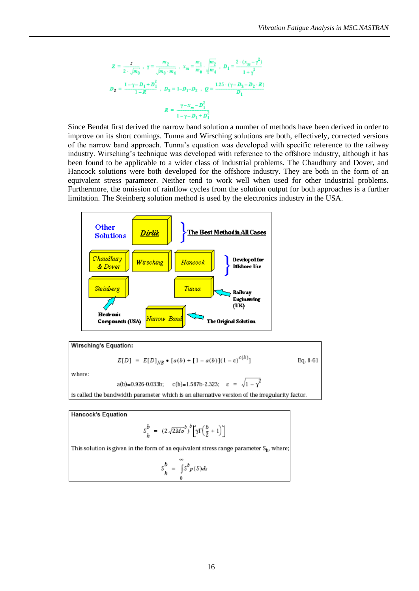$$
Z = \frac{s}{2 \cdot \sqrt{m_0}} \cdot \gamma = \frac{m_2}{\sqrt{m_0 \cdot m_4}} \cdot x_m = \frac{m_1}{m_0} \cdot \sqrt{\frac{m_2}{m_4}} \cdot D_1 = \frac{2 \cdot (x_m - \gamma^2)}{1 + \gamma^2}
$$
  

$$
D_2 = \frac{1 - \gamma - D_1 + D_1^2}{1 - R} \cdot D_3 = 1 - D_1 - D_2 \cdot Q = \frac{1.25 \cdot (\gamma - D_3 - D_2 \cdot R)}{D_1}
$$
  

$$
R = \frac{\gamma - x_m - D_1^2}{1 - \gamma - D_1 + D_1^2}
$$

Since Bendat first derived the narrow band solution a number of methods have been derived in order to improve on its short comings. Tunna and Wirsching solutions are both, effectively, corrected versions of the narrow band approach. Tunna's equation was developed with specific reference to the railway industry. Wirsching's technique was developed with reference to the offshore industry, although it has been found to be applicable to a wider class of industrial problems. The Chaudhury and Dover, and Hancock solutions were both developed for the offshore industry. They are both in the form of an equivalent stress parameter. Neither tend to work well when used for other industrial problems. Furthermore, the omission of rainflow cycles from the solution output for both approaches is a further limitation. The Steinberg solution method is used by the electronics industry in the USA.



Wirsching's Equation:

$$
E[D] = E[D]_{NR} \bullet [a(b) + [1 - a(b)](1 - \varepsilon)^{c(b)}]
$$
 Eq. 8-61

 $-\gamma^2$ 

where:

$$
a(b)=0.926-0.033b
$$
;  $c(b)=1.587b-2.323$ ;  $\varepsilon = \sqrt{2.569}c$ 

is called the bandwidth parameter which is an alternative version of the irregularity factor.

**Hancock's Equation** 

$$
S_h^b = (2\sqrt{2Mo}^b)^b \left[ \gamma \Gamma \Bigl( \frac{b}{2} + 1 \Bigr) \right]
$$

This solution is given in the form of an equivalent stress range parameter Sh, where;

$$
S_h^b = \int_0^\infty s^b p(s) ds
$$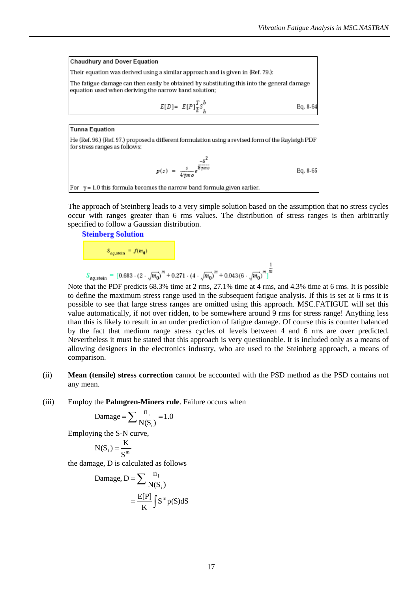**Chaudhury and Dover Equation** Their equation was derived using a similar approach and is given in (Ref. 79.): The fatigue damage can then easily be obtained by substituting this into the general damage equation used when deriving the narrow band solution;  $E[D] = E[P]_{\bar{k}}^T s_{\bar{k}}^b$ Eq. 8-64

**Tunna Equation** 

He (Ref. 96.) (Ref. 97.) proposed a different formulation using a revised form of the Rayleigh PDF for stress ranges as follows:

$$
p(s) = \frac{s}{4\gamma m \sigma} e^{\frac{-\delta^2}{8\gamma m \sigma}}
$$
 Eq. 8-65

For  $y = 1.0$  this formula becomes the narrow band formula given earlier.

The approach of Steinberg leads to a very simple solution based on the assumption that no stress cycles occur with ranges greater than 6 rms values. The distribution of stress ranges is then arbitrarily specified to follow a Gaussian distribution.



Note that the PDF predicts 68.3% time at 2 rms, 27.1% time at 4 rms, and 4.3% time at 6 rms. It is possible to define the maximum stress range used in the subsequent fatigue analysis. If this is set at 6 rms it is possible to see that large stress ranges are omitted using this approach. MSC.FATIGUE will set this value automatically, if not over ridden, to be somewhere around 9 rms for stress range! Anything less than this is likely to result in an under prediction of fatigue damage. Of course this is counter balanced by the fact that medium range stress cycles of levels between 4 and 6 rms are over predicted. Nevertheless it must be stated that this approach is very questionable. It is included only as a means of allowing designers in the electronics industry, who are used to the Steinberg approach, a means of comparison.

- (ii) **Mean (tensile) stress correction** cannot be accounted with the PSD method as the PSD contains not any mean.
- (iii) Employ the **Palmgren-Miners rule**. Failure occurs when

$$
\text{Damage} = \sum \frac{n_i}{N(S_i)} = 1.0
$$

Employing the S-N curve,

$$
N(S_i) = \frac{K}{S^m}
$$

the damage, D is calculated as follows

$$
\begin{aligned} \text{Damage, D} &= \sum \frac{n_i}{N(S_i)} \\ &= \frac{E[P]}{K} \int S^m p(S) \, \text{d}S \end{aligned}
$$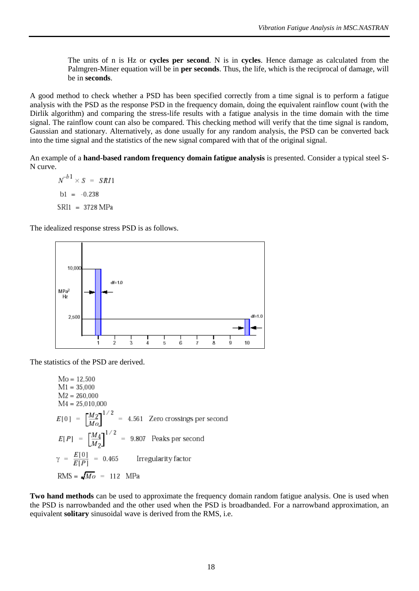The units of n is Hz or **cycles per second**. N is in **cycles**. Hence damage as calculated from the Palmgren-Miner equation will be in **per seconds**. Thus, the life, which is the reciprocal of damage, will be in **seconds**.

A good method to check whether a PSD has been specified correctly from a time signal is to perform a fatigue analysis with the PSD as the response PSD in the frequency domain, doing the equivalent rainflow count (with the Dirlik algorithm) and comparing the stress-life results with a fatigue analysis in the time domain with the time signal. The rainflow count can also be compared. This checking method will verify that the time signal is random, Gaussian and stationary. Alternatively, as done usually for any random analysis, the PSD can be converted back into the time signal and the statistics of the new signal compared with that of the original signal.

An example of a **hand-based random frequency domain fatigue analysis** is presented. Consider a typical steel S-N curve.

 $N^{-b1} \times S = SRI1$  $b1 = -0.238$ SRI1 = 3728 MPa

The idealized response stress PSD is as follows.



The statistics of the PSD are derived.

 $Mo = 12,500$  $M1 = 35,000$  $M2 = 260,000$  $M4 = 25,010,000$  $E[0] = \left[\frac{M_2}{M_0}\right]^{1/2} = 4.561$  Zero crossings per second  $E[P] = \left[\frac{M_4}{M_2}\right]^{1/2} = 9.807$  Peaks per second  $\gamma = \frac{E[0]}{E[P]} = 0.465$  Irregularity factor  $RMS = \sqrt{M_O} = 112$  MPa

**Two hand methods** can be used to approximate the frequency domain random fatigue analysis. One is used when the PSD is narrowbanded and the other used when the PSD is broadbanded. For a narrowband approximation, an equivalent **solitary** sinusoidal wave is derived from the RMS, i.e.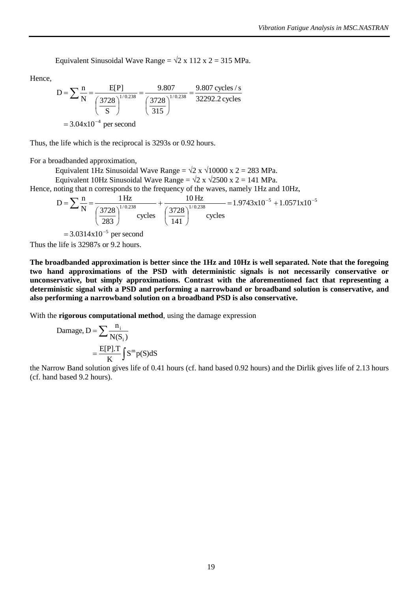Equivalent Sinusoidal Wave Range =  $\sqrt{2}$  x 112 x 2 = 315 MPa.

Hence,

$$
D = \sum \frac{n}{N} = \frac{E[P]}{\left(\frac{3728}{S}\right)^{1/0.238}} = \frac{9.807}{\left(\frac{3728}{315}\right)^{1/0.238}} = \frac{9.807 \text{ cycles/s}}{32292.2 \text{ cycles}}
$$

$$
= 3.04 \times 10^{-4} \text{ per second}
$$

Thus, the life which is the reciprocal is 3293s or 0.92 hours.

For a broadbanded approximation,

Equivalent 1Hz Sinusoidal Wave Range =  $\sqrt{2}$  x  $\sqrt{10000}$  x 2 = 283 MPa.

Equivalent 10Hz Sinusoidal Wave Range =  $\sqrt{2} \times \sqrt{2500 \times 2} = 141 \text{ MPa}$ .

Hence, noting that n corresponds to the frequency of the waves, namely 1Hz and 10Hz,

$$
D = \sum \frac{n}{N} = \frac{1 Hz}{\left(\frac{3728}{283}\right)^{1/0.238}} + \frac{10 Hz}{\left(\frac{3728}{141}\right)^{1/0.238}} = 1.9743 \times 10^{-5} + 1.0571 \times 10^{-5}
$$

 $= 3.0314 \times 10^{-5}$  per second Thus the life is 32987s or 9.2 hours.

**The broadbanded approximation is better since the 1Hz and 10Hz is well separated. Note that the foregoing two hand approximations of the PSD with deterministic signals is not necessarily conservative or unconservative, but simply approximations. Contrast with the aforementioned fact that representing a deterministic signal with a PSD and performing a narrowband or broadband solution is conservative, and also performing a narrowband solution on a broadband PSD is also conservative.**

With the **rigorous computational method**, using the damage expression

$$
\begin{aligned} \text{Damage, D} &= \sum \frac{n_i}{N(S_i)} \\ &= \frac{E[P].T}{K} \int S^m p(S) \, \text{d}S \end{aligned}
$$

the Narrow Band solution gives life of 0.41 hours (cf. hand based 0.92 hours) and the Dirlik gives life of 2.13 hours (cf. hand based 9.2 hours).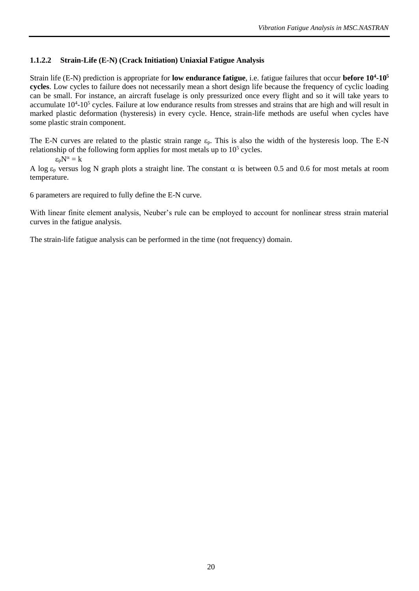## <span id="page-19-0"></span>**1.1.2.2 Strain-Life (E-N) (Crack Initiation) Uniaxial Fatigue Analysis**

Strain life (E-N) prediction is appropriate for **low endurance fatigue**, i.e. fatigue failures that occur **before 10<sup>4</sup> -10<sup>5</sup> cycles**. Low cycles to failure does not necessarily mean a short design life because the frequency of cyclic loading can be small. For instance, an aircraft fuselage is only pressurized once every flight and so it will take years to accumulate 10<sup>4</sup>-10<sup>5</sup> cycles. Failure at low endurance results from stresses and strains that are high and will result in marked plastic deformation (hysteresis) in every cycle. Hence, strain-life methods are useful when cycles have some plastic strain component.

The E-N curves are related to the plastic strain range  $\varepsilon_p$ . This is also the width of the hysteresis loop. The E-N relationship of the following form applies for most metals up to  $10<sup>5</sup>$  cycles.

$$
\varepsilon_{\rm D} N^{\alpha} = k
$$

A log  $\varepsilon_p$  versus log N graph plots a straight line. The constant  $\alpha$  is between 0.5 and 0.6 for most metals at room temperature.

6 parameters are required to fully define the E-N curve.

With linear finite element analysis, Neuber's rule can be employed to account for nonlinear stress strain material curves in the fatigue analysis.

The strain-life fatigue analysis can be performed in the time (not frequency) domain.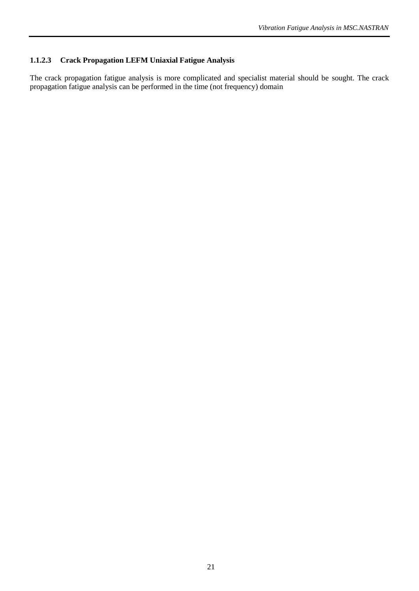# <span id="page-20-0"></span>**1.1.2.3 Crack Propagation LEFM Uniaxial Fatigue Analysis**

The crack propagation fatigue analysis is more complicated and specialist material should be sought. The crack propagation fatigue analysis can be performed in the time (not frequency) domain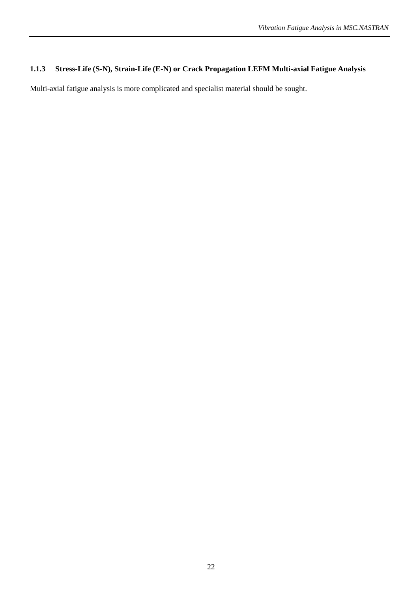# <span id="page-21-0"></span>**1.1.3 Stress-Life (S-N), Strain-Life (E-N) or Crack Propagation LEFM Multi-axial Fatigue Analysis**

Multi-axial fatigue analysis is more complicated and specialist material should be sought.